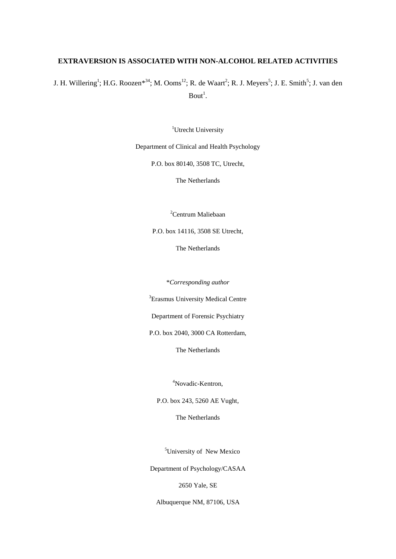# **EXTRAVERSION IS ASSOCIATED WITH NON-ALCOHOL RELATED ACTIVITIES**

J. H. Willering<sup>1</sup>; H.G. Roozen<sup>\*34</sup>; M. Ooms<sup>12</sup>; R. de Waart<sup>2</sup>; R. J. Meyers<sup>5</sup>; J. E. Smith<sup>5</sup>; J. van den  $Bout<sup>1</sup>$ .

<sup>1</sup>Utrecht University

Department of Clinical and Health Psychology

P.O. box 80140, 3508 TC, Utrecht,

The Netherlands

<sup>2</sup>Centrum Maliebaan

P.O. box 14116, 3508 SE Utrecht,

The Netherlands

\**Corresponding author*

<sup>3</sup>Erasmus University Medical Centre

Department of Forensic Psychiatry

P.O. box 2040, 3000 CA Rotterdam,

The Netherlands

<sup>4</sup>Novadic-Kentron,

P.O. box 243, 5260 AE Vught,

The Netherlands

<sup>5</sup>University of New Mexico

Department of Psychology/CASAA

2650 Yale, SE

Albuquerque NM, 87106, USA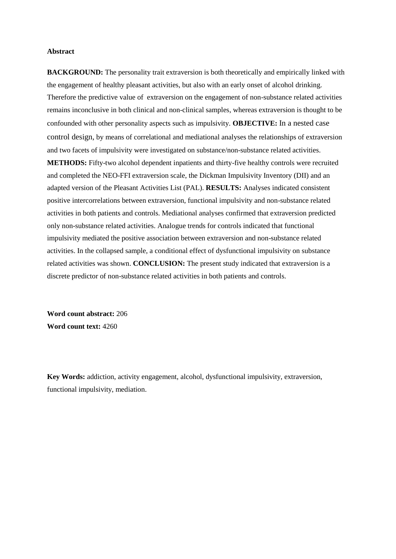### **Abstract**

**BACKGROUND:** The personality trait extraversion is both theoretically and empirically linked with the engagement of healthy pleasant activities, but also with an early onset of alcohol drinking. Therefore the predictive value of extraversion on the engagement of non-substance related activities remains inconclusive in both clinical and non-clinical samples, whereas extraversion is thought to be confounded with other personality aspects such as impulsivity. **OBJECTIVE:** In a nested case control design, by means of correlational and mediational analyses the relationships of extraversion and two facets of impulsivity were investigated on substance/non-substance related activities. **METHODS:** Fifty-two alcohol dependent inpatients and thirty-five healthy controls were recruited and completed the NEO-FFI extraversion scale, the Dickman Impulsivity Inventory (DII) and an adapted version of the Pleasant Activities List (PAL). **RESULTS:** Analyses indicated consistent positive intercorrelations between extraversion, functional impulsivity and non-substance related activities in both patients and controls. Mediational analyses confirmed that extraversion predicted only non-substance related activities. Analogue trends for controls indicated that functional impulsivity mediated the positive association between extraversion and non-substance related activities. In the collapsed sample, a conditional effect of dysfunctional impulsivity on substance related activities was shown. **CONCLUSION:** The present study indicated that extraversion is a discrete predictor of non-substance related activities in both patients and controls.

**Word count abstract:** 206 **Word count text:** 4260

**Key Words:** addiction, activity engagement, alcohol, dysfunctional impulsivity, extraversion, functional impulsivity, mediation.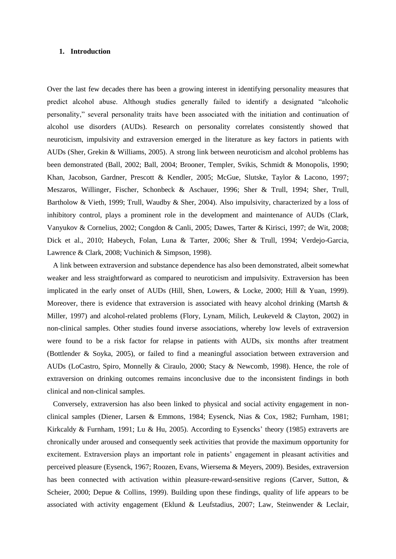### **1. Introduction**

Over the last few decades there has been a growing interest in identifying personality measures that predict alcohol abuse. Although studies generally failed to identify a designated "alcoholic personality," several personality traits have been associated with the initiation and continuation of alcohol use disorders (AUDs). Research on personality correlates consistently showed that neuroticism, impulsivity and extraversion emerged in the literature as key factors in patients with AUDs (Sher, Grekin & Williams, 2005). A strong link between neuroticism and alcohol problems has been demonstrated (Ball, 2002; Ball, 2004; Brooner, Templer, Svikis, Schmidt & Monopolis, 1990; Khan, Jacobson, Gardner, Prescott & Kendler, 2005; McGue, Slutske, Taylor & Lacono, 1997; Meszaros, Willinger, Fischer, Schonbeck & Aschauer, 1996; Sher & Trull, 1994; Sher, Trull, Bartholow & Vieth, 1999; Trull, Waudby & Sher, 2004). Also impulsivity, characterized by a loss of inhibitory control, plays a prominent role in the development and maintenance of AUDs (Clark, Vanyukov & Cornelius, 2002; Congdon & Canli, 2005; Dawes, Tarter & Kirisci, 1997; de Wit, 2008; Dick et al., 2010; Habeych, Folan, Luna & Tarter, 2006; Sher & Trull, 1994; Verdejo-Garcia, Lawrence & Clark, 2008; Vuchinich & Simpson, 1998).

A link between extraversion and substance dependence has also been demonstrated, albeit somewhat weaker and less straightforward as compared to neuroticism and impulsivity. Extraversion has been implicated in the early onset of AUDs (Hill, Shen, Lowers, & Locke, 2000; Hill & Yuan, 1999). Moreover, there is evidence that extraversion is associated with heavy alcohol drinking (Martsh  $\&$ Miller, 1997) and alcohol-related problems (Flory, Lynam, Milich, Leukeveld & Clayton, 2002) in non-clinical samples. Other studies found inverse associations, whereby low levels of extraversion were found to be a risk factor for relapse in patients with AUDs, six months after treatment (Bottlender & Soyka, 2005), or failed to find a meaningful association between extraversion and AUDs (LoCastro, Spiro, Monnelly & Ciraulo, 2000; Stacy & Newcomb, 1998). Hence, the role of extraversion on drinking outcomes remains inconclusive due to the inconsistent findings in both clinical and non-clinical samples.

Conversely, extraversion has also been linked to physical and social activity engagement in nonclinical samples (Diener, Larsen & Emmons, 1984; Eysenck, Nias & Cox, 1982; Furnham, 1981; Kirkcaldy & Furnham, 1991; Lu & Hu, 2005). According to Eysencks' theory (1985) extraverts are chronically under aroused and consequently seek activities that provide the maximum opportunity for excitement. Extraversion plays an important role in patients' engagement in pleasant activities and perceived pleasure (Eysenck, 1967; Roozen, Evans, Wiersema & Meyers, 2009). Besides, extraversion has been connected with activation within pleasure-reward-sensitive regions (Carver, Sutton, & Scheier, 2000; Depue & Collins, 1999). Building upon these findings, quality of life appears to be associated with activity engagement (Eklund & Leufstadius, 2007; Law, Steinwender & Leclair,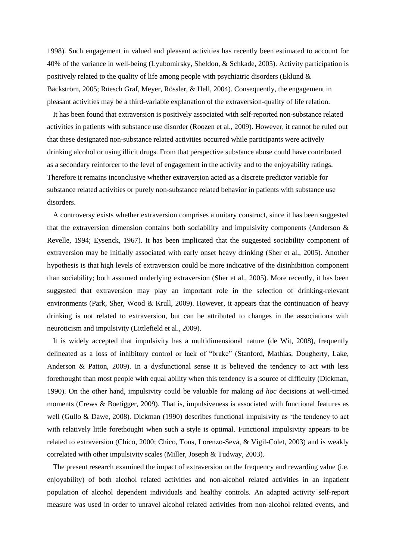1998). Such engagement in valued and pleasant activities has recently been estimated to account for 40% of the variance in well-being (Lyubomirsky, Sheldon, & Schkade, 2005). Activity participation is positively related to the quality of life among people with psychiatric disorders (Eklund & Bäckström, 2005; Rüesch Graf, Meyer, Rössler, & Hell, 2004). Consequently, the engagement in pleasant activities may be a third-variable explanation of the extraversion-quality of life relation.

It has been found that extraversion is positively associated with self-reported non-substance related activities in patients with substance use disorder (Roozen et al., 2009). However, it cannot be ruled out that these designated non-substance related activities occurred while participants were actively drinking alcohol or using illicit drugs. From that perspective substance abuse could have contributed as a secondary reinforcer to the level of engagement in the activity and to the enjoyability ratings. Therefore it remains inconclusive whether extraversion acted as a discrete predictor variable for substance related activities or purely non-substance related behavior in patients with substance use disorders.

A controversy exists whether extraversion comprises a unitary construct, since it has been suggested that the extraversion dimension contains both sociability and impulsivity components (Anderson & Revelle, 1994; Eysenck, 1967). It has been implicated that the suggested sociability component of extraversion may be initially associated with early onset heavy drinking (Sher et al., 2005). Another hypothesis is that high levels of extraversion could be more indicative of the disinhibition component than sociability; both assumed underlying extraversion (Sher et al., 2005). More recently, it has been suggested that extraversion may play an important role in the selection of drinking-relevant environments (Park, Sher, Wood & Krull, 2009). However, it appears that the continuation of heavy drinking is not related to extraversion, but can be attributed to changes in the associations with neuroticism and impulsivity (Littlefield et al., 2009).

It is widely accepted that impulsivity has a multidimensional nature (de Wit, 2008), frequently delineated as a loss of inhibitory control or lack of "brake" (Stanford, Mathias, Dougherty, Lake, Anderson & Patton, 2009). In a dysfunctional sense it is believed the tendency to act with less forethought than most people with equal ability when this tendency is a source of difficulty (Dickman, 1990). On the other hand, impulsivity could be valuable for making *ad hoc* decisions at well-timed moments (Crews & Boetigger, 2009). That is, impulsiveness is associated with functional features as well (Gullo & Dawe, 2008). Dickman (1990) describes functional impulsivity as 'the tendency to act with relatively little forethought when such a style is optimal. Functional impulsivity appears to be related to extraversion (Chico, 2000; Chico, Tous, Lorenzo-Seva, & Vigil-Colet, 2003) and is weakly correlated with other impulsivity scales (Miller, Joseph & Tudway, 2003).

The present research examined the impact of extraversion on the frequency and rewarding value (i.e. enjoyability) of both alcohol related activities and non-alcohol related activities in an inpatient population of alcohol dependent individuals and healthy controls. An adapted activity self-report measure was used in order to unravel alcohol related activities from non-alcohol related events, and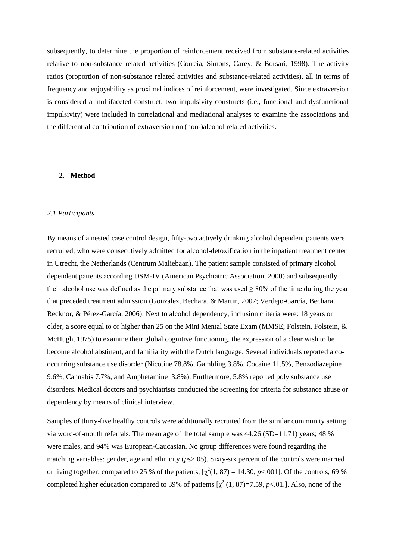subsequently, to determine the proportion of reinforcement received from substance-related activities relative to non-substance related activities (Correia, Simons, Carey, & Borsari, 1998). The activity ratios (proportion of non-substance related activities and substance-related activities), all in terms of frequency and enjoyability as proximal indices of reinforcement, were investigated. Since extraversion is considered a multifaceted construct, two impulsivity constructs (i.e., functional and dysfunctional impulsivity) were included in correlational and mediational analyses to examine the associations and the differential contribution of extraversion on (non-)alcohol related activities.

### **2. Method**

### *2.1 Participants*

By means of a nested case control design, fifty-two actively drinking alcohol dependent patients were recruited, who were consecutively admitted for alcohol-detoxification in the inpatient treatment center in Utrecht, the Netherlands (Centrum Maliebaan). The patient sample consisted of primary alcohol dependent patients according DSM-IV (American Psychiatric Association, 2000) and subsequently their alcohol use was defined as the primary substance that was used  $> 80\%$  of the time during the year that preceded treatment admission (Gonzalez, Bechara, & Martin, 2007; Verdejo-García, Bechara, Recknor, & Pérez-García, 2006). Next to alcohol dependency, inclusion criteria were: 18 years or older, a score equal to or higher than 25 on the Mini Mental State Exam (MMSE; Folstein, Folstein, & McHugh, 1975) to examine their global cognitive functioning, the expression of a clear wish to be become alcohol abstinent, and familiarity with the Dutch language. Several individuals reported a cooccurring substance use disorder (Nicotine 78.8%, Gambling 3.8%, Cocaine 11.5%, Benzodiazepine 9.6%, Cannabis 7.7%, and Amphetamine 3.8%). Furthermore, 5.8% reported poly substance use disorders. Medical doctors and psychiatrists conducted the screening for criteria for substance abuse or dependency by means of clinical interview.

Samples of thirty-five healthy controls were additionally recruited from the similar community setting via word-of-mouth referrals. The mean age of the total sample was 44.26 (SD=11.71) years; 48 % were males, and 94% was European-Caucasian. No group differences were found regarding the matching variables: gender, age and ethnicity (*p*s>.05). Sixty-six percent of the controls were married or living together, compared to 25 % of the patients,  $[\chi^2(1, 87) = 14.30, p < .001]$ . Of the controls, 69 % completed higher education compared to 39% of patients  $[\chi^2(1, 87)=7.59, p<.01.]$ . Also, none of the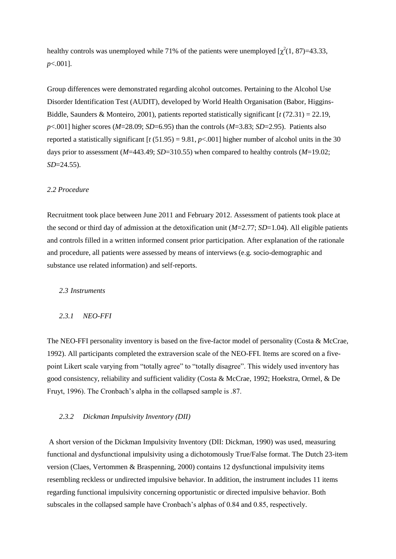healthy controls was unemployed while 71% of the patients were unemployed  $[\chi^2(1, 87)=43.33]$ , *p*<.001].

Group differences were demonstrated regarding alcohol outcomes. Pertaining to the Alcohol Use Disorder Identification Test (AUDIT), developed by World Health Organisation (Babor, Higgins-Biddle, Saunders & Monteiro, 2001), patients reported statistically significant [*t* (72.31) = 22.19, *p*<.001] higher scores (*M*=28.09; *SD*=6.95) than the controls (*M*=3.83; *SD*=2.95). Patients also reported a statistically significant  $[t (51.95) = 9.81, p < .001]$  higher number of alcohol units in the 30 days prior to assessment (*M*=443.49; *SD*=310.55) when compared to healthy controls (*M*=19.02; *SD*=24.55).

#### *2.2 Procedure*

Recruitment took place between June 2011 and February 2012. Assessment of patients took place at the second or third day of admission at the detoxification unit (*M*=2.77; *SD*=1.04). All eligible patients and controls filled in a written informed consent prior participation. After explanation of the rationale and procedure, all patients were assessed by means of interviews (e.g. socio-demographic and substance use related information) and self-reports.

## *2.3 Instruments*

# *2.3.1 NEO-FFI*

The NEO-FFI personality inventory is based on the five-factor model of personality (Costa & McCrae, 1992). All participants completed the extraversion scale of the NEO-FFI. Items are scored on a fivepoint Likert scale varying from "totally agree" to "totally disagree". This widely used inventory has good consistency, reliability and sufficient validity (Costa & McCrae, 1992; Hoekstra, Ormel, & De Fruyt, 1996). The Cronbach's alpha in the collapsed sample is .87.

### *2.3.2 Dickman Impulsivity Inventory (DII)*

A short version of the Dickman Impulsivity Inventory (DII: Dickman, 1990) was used, measuring functional and dysfunctional impulsivity using a dichotomously True/False format. The Dutch 23-item version (Claes, Vertommen & Braspenning, 2000) contains 12 dysfunctional impulsivity items resembling reckless or undirected impulsive behavior. In addition, the instrument includes 11 items regarding functional impulsivity concerning opportunistic or directed impulsive behavior. Both subscales in the collapsed sample have Cronbach's alphas of 0.84 and 0.85, respectively.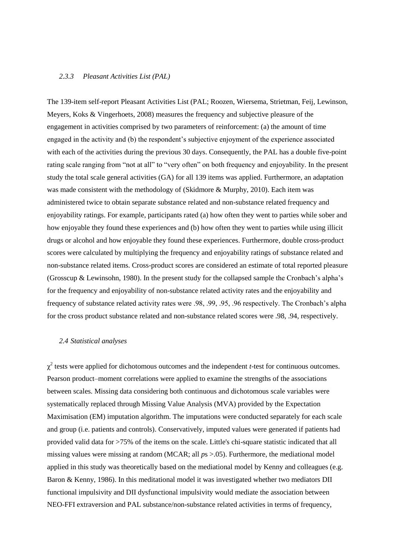### *2.3.3 Pleasant Activities List (PAL)*

The 139-item self-report Pleasant Activities List (PAL; Roozen, Wiersema, Strietman, Feij, Lewinson, Meyers, Koks & Vingerhoets, 2008) measures the frequency and subjective pleasure of the engagement in activities comprised by two parameters of reinforcement: (a) the amount of time engaged in the activity and (b) the respondent's subjective enjoyment of the experience associated with each of the activities during the previous 30 days. Consequently, the PAL has a double five-point rating scale ranging from "not at all" to "very often" on both frequency and enjoyability. In the present study the total scale general activities (GA) for all 139 items was applied. Furthermore, an adaptation was made consistent with the methodology of (Skidmore & Murphy, 2010). Each item was administered twice to obtain separate substance related and non-substance related frequency and enjoyability ratings. For example, participants rated (a) how often they went to parties while sober and how enjoyable they found these experiences and (b) how often they went to parties while using illicit drugs or alcohol and how enjoyable they found these experiences. Furthermore, double cross-product scores were calculated by multiplying the frequency and enjoyability ratings of substance related and non-substance related items. Cross-product scores are considered an estimate of total reported pleasure (Grosscup & Lewinsohn, 1980). In the present study for the collapsed sample the Cronbach's alpha's for the frequency and enjoyability of non-substance related activity rates and the enjoyability and frequency of substance related activity rates were .98, .99, .95, .96 respectively. The Cronbach's alpha for the cross product substance related and non-substance related scores were .98, .94, respectively.

### *2.4 Statistical analyses*

 $\chi^2$  tests were applied for dichotomous outcomes and the independent *t*-test for continuous outcomes. Pearson product–moment correlations were applied to examine the strengths of the associations between scales. Missing data considering both continuous and dichotomous scale variables were systematically replaced through Missing Value Analysis (MVA) provided by the Expectation Maximisation (EM) imputation algorithm. The imputations were conducted separately for each scale and group (i.e. patients and controls). Conservatively, imputed values were generated if patients had provided valid data for >75% of the items on the scale. Little's chi-square statistic indicated that all missing values were missing at random (MCAR; all  $ps > .05$ ). Furthermore, the mediational model applied in this study was theoretically based on the mediational model by Kenny and colleagues (e.g. Baron & Kenny, 1986). In this meditational model it was investigated whether two mediators DII functional impulsivity and DII dysfunctional impulsivity would mediate the association between NEO-FFI extraversion and PAL substance/non-substance related activities in terms of frequency,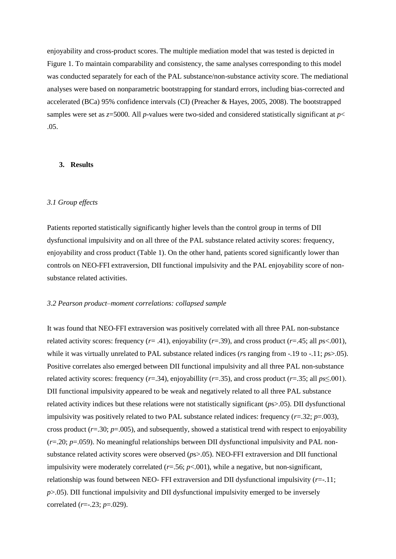enjoyability and cross-product scores. The multiple mediation model that was tested is depicted in Figure 1. To maintain comparability and consistency, the same analyses corresponding to this model was conducted separately for each of the PAL substance/non-substance activity score. The mediational analyses were based on nonparametric bootstrapping for standard errors, including bias-corrected and accelerated (BCa) 95% confidence intervals (CI) (Preacher & Hayes, 2005, 2008). The bootstrapped samples were set as *z*=5000. All *p*-values were two-sided and considered statistically significant at *p*< .05.

# **3. Results**

# *3.1 Group effects*

Patients reported statistically significantly higher levels than the control group in terms of DII dysfunctional impulsivity and on all three of the PAL substance related activity scores: frequency, enjoyability and cross product (Table 1). On the other hand, patients scored significantly lower than controls on NEO-FFI extraversion, DII functional impulsivity and the PAL enjoyability score of nonsubstance related activities.

### *3.2 Pearson product–moment correlations: collapsed sample*

It was found that NEO-FFI extraversion was positively correlated with all three PAL non-substance related activity scores: frequency (*r*= .41), enjoyability (*r*=.39), and cross product (*r*=.45; all *p*s<.001), while it was virtually unrelated to PAL substance related indices (*rs* ranging from -.19 to -.11; *ps*>.05). Positive correlates also emerged between DII functional impulsivity and all three PAL non-substance related activity scores: frequency ( $r = .34$ ), enjoyabillity ( $r = .35$ ), and cross product ( $r = .35$ ; all  $ps \le 0.001$ ). DII functional impulsivity appeared to be weak and negatively related to all three PAL substance related activity indices but these relations were not statistically significant (*p*s>.05). DII dysfunctional impulsivity was positively related to two PAL substance related indices: frequency  $(r=.32; p=.003)$ , cross product  $(r=.30; p=.005)$ , and subsequently, showed a statistical trend with respect to enjoyability (*r*=.20; *p*=.059). No meaningful relationships between DII dysfunctional impulsivity and PAL nonsubstance related activity scores were observed (*p*s>.05). NEO-FFI extraversion and DII functional impulsivity were moderately correlated (*r*=.56; *p*<.001), while a negative, but non-significant, relationship was found between NEO- FFI extraversion and DII dysfunctional impulsivity (*r*=-.11; *p*>.05). DII functional impulsivity and DII dysfunctional impulsivity emerged to be inversely correlated (*r*=-.23; *p*=.029).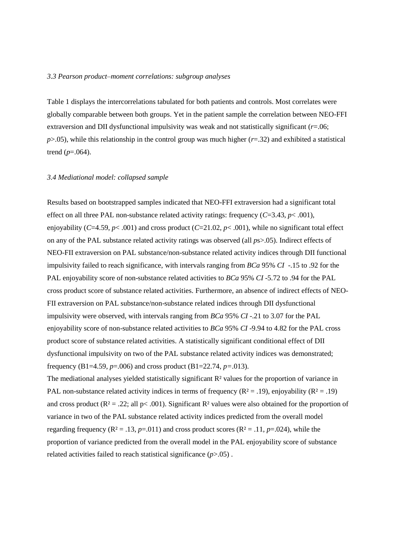#### *3.3 Pearson product–moment correlations: subgroup analyses*

Table 1 displays the intercorrelations tabulated for both patients and controls. Most correlates were globally comparable between both groups. Yet in the patient sample the correlation between NEO-FFI extraversion and DII dysfunctional impulsivity was weak and not statistically significant (*r*=.06;  $p$ >.05), while this relationship in the control group was much higher ( $r=$ .32) and exhibited a statistical trend  $(p=.064)$ .

### *3.4 Mediational model: collapsed sample*

Results based on bootstrapped samples indicated that NEO-FFI extraversion had a significant total effect on all three PAL non-substance related activity ratings: frequency (*C*=3.43, *p*< .001), enjoyability ( $C=4.59$ ,  $p < .001$ ) and cross product ( $C=21.02$ ,  $p < .001$ ), while no significant total effect on any of the PAL substance related activity ratings was observed (all *p*s>.05). Indirect effects of NEO-FII extraversion on PAL substance/non-substance related activity indices through DII functional impulsivity failed to reach significance, with intervals ranging from *BCa* 95% *CI* -.15 to .92 for the PAL enjoyability score of non-substance related activities to *BCa* 95% *CI* -5.72 to .94 for the PAL cross product score of substance related activities. Furthermore, an absence of indirect effects of NEO-FII extraversion on PAL substance/non-substance related indices through DII dysfunctional impulsivity were observed, with intervals ranging from *BCa* 95% *CI* -.21 to 3.07 for the PAL enjoyability score of non-substance related activities to *BCa* 95% *CI* -9.94 to 4.82 for the PAL cross product score of substance related activities. A statistically significant conditional effect of DII dysfunctional impulsivity on two of the PAL substance related activity indices was demonstrated; frequency (B1=4.59, *p*=.006) and cross product (B1=22.74, *p=*.013).

The mediational analyses yielded statistically significant R<sup>2</sup> values for the proportion of variance in PAL non-substance related activity indices in terms of frequency ( $R^2 = .19$ ), enjoyability ( $R^2 = .19$ ) and cross product ( $R^2 = .22$ ; all  $p < .001$ ). Significant  $R^2$  values were also obtained for the proportion of variance in two of the PAL substance related activity indices predicted from the overall model regarding frequency ( $\mathbb{R}^2 = .13$ , *p*=.011) and cross product scores ( $\mathbb{R}^2 = .11$ , *p*=.024), while the proportion of variance predicted from the overall model in the PAL enjoyability score of substance related activities failed to reach statistical significance (*p*>.05) .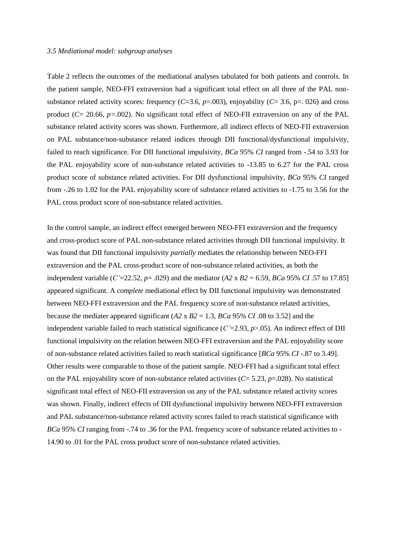#### *3.5 Mediational model: subgroup analyses*

Table 2 reflects the outcomes of the mediational analyses tabulated for both patients and controls. In the patient sample, NEO-FFI extraversion had a significant total effect on all three of the PAL nonsubstance related activity scores: frequency ( $C=3.6$ ,  $p=.003$ ), enjoyability ( $C=3.6$ ,  $p=.026$ ) and cross product (*C*= 20.66, *p=.*002). No significant total effect of NEO-FII extraversion on any of the PAL substance related activity scores was shown. Furthermore, all indirect effects of NEO-FII extraversion on PAL substance/non-substance related indices through DII functional/dysfunctional impulsivity, failed to reach significance. For DII functional impulsivity, *BCa* 95% *CI* ranged from -.54 to 3.93 for the PAL enjoyability score of non-substance related activities to -13.85 to 6.27 for the PAL cross product score of substance related activities. For DII dysfunctional impulsivity, *BCa* 95% *CI* ranged from -.26 to 1.02 for the PAL enjoyability score of substance related activities to -1.75 to 3.56 for the PAL cross product score of non-substance related activities.

In the control sample, an indirect effect emerged between NEO-FFI extraversion and the frequency and cross-product score of PAL non-substance related activities through DII functional impulsivity. It was found that DII functional impulsivity *partially* mediates the relationship between NEO-FFI extraversion and the PAL cross-product score of non-substance related activities, as both the independent variable (*C*'=22.52, *p*= .029) and the mediator (*A2* x *B2* = 6.59, *BCa* 95% *CI* .57 to 17.85] appeared significant. A *complete* mediational effect by DII functional impulsivity was demonstrated between NEO-FFI extraversion and the PAL frequency score of non-substance related activities, because the mediater appeared significant (*A2* x *B2* = 1.3, *BCa* 95% *CI* .08 to 3.52] and the independent variable failed to reach statistical significance (*C'*=2.93, *p*>.05). An indirect effect of DII functional impulsivity on the relation between NEO-FFI extraversion and the PAL enjoyability score of non-substance related activities failed to reach statistical significance [*BCa* 95% *CI* -.87 to 3.49]. Other results were comparable to those of the patient sample. NEO-FFI had a significant total effect on the PAL enjoyability score of non-substance related activities  $(C = 5.23, p = .028)$ . No statistical significant total effect of NEO-FII extraversion on any of the PAL substance related activity scores was shown. Finally, indirect effects of DII dysfunctional impulsivity between NEO-FFI extraversion and PAL substance/non-substance related activity scores failed to reach statistical significance with *BCa* 95% *CI* ranging from -.74 to .36 for the PAL frequency score of substance related activities to -14.90 to .01 for the PAL cross product score of non-substance related activities.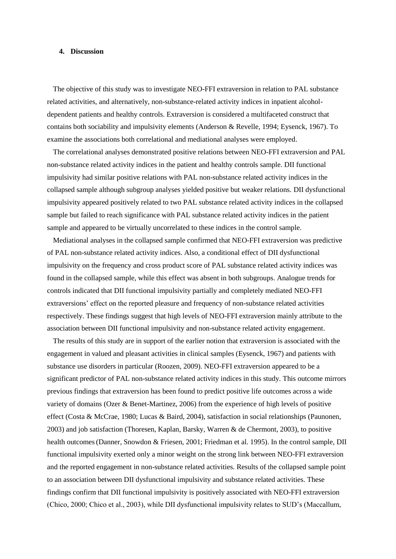# **4. Discussion**

The objective of this study was to investigate NEO-FFI extraversion in relation to PAL substance related activities, and alternatively, non-substance-related activity indices in inpatient alcoholdependent patients and healthy controls. Extraversion is considered a multifaceted construct that contains both sociability and impulsivity elements (Anderson & Revelle, 1994; Eysenck, 1967). To examine the associations both correlational and mediational analyses were employed.

The correlational analyses demonstrated positive relations between NEO-FFI extraversion and PAL non-substance related activity indices in the patient and healthy controls sample. DII functional impulsivity had similar positive relations with PAL non-substance related activity indices in the collapsed sample although subgroup analyses yielded positive but weaker relations. DII dysfunctional impulsivity appeared positively related to two PAL substance related activity indices in the collapsed sample but failed to reach significance with PAL substance related activity indices in the patient sample and appeared to be virtually uncorrelated to these indices in the control sample.

Mediational analyses in the collapsed sample confirmed that NEO-FFI extraversion was predictive of PAL non-substance related activity indices. Also, a conditional effect of DII dysfunctional impulsivity on the frequency and cross product score of PAL substance related activity indices was found in the collapsed sample, while this effect was absent in both subgroups. Analogue trends for controls indicated that DII functional impulsivity partially and completely mediated NEO-FFI extraversions' effect on the reported pleasure and frequency of non-substance related activities respectively. These findings suggest that high levels of NEO-FFI extraversion mainly attribute to the association between DII functional impulsivity and non-substance related activity engagement.

The results of this study are in support of the earlier notion that extraversion is associated with the engagement in valued and pleasant activities in clinical samples (Eysenck, 1967) and patients with substance use disorders in particular (Roozen, 2009). NEO-FFI extraversion appeared to be a significant predictor of PAL non-substance related activity indices in this study. This outcome mirrors previous findings that extraversion has been found to predict positive life outcomes across a wide variety of domains (Ozer & Benet-Martinez, 2006) from the experience of high levels of positive effect (Costa & McCrae, 1980; Lucas & Baird, 2004), satisfaction in social relationships (Paunonen, 2003) and job satisfaction (Thoresen, Kaplan, Barsky, Warren & de Chermont, 2003), to positive health outcomes(Danner, Snowdon & Friesen, 2001; Friedman et al. 1995). In the control sample, DII functional impulsivity exerted only a minor weight on the strong link between NEO-FFI extraversion and the reported engagement in non-substance related activities. Results of the collapsed sample point to an association between DII dysfunctional impulsivity and substance related activities. These findings confirm that DII functional impulsivity is positively associated with NEO-FFI extraversion (Chico, 2000; Chico et al., 2003), while DII dysfunctional impulsivity relates to SUD's (Maccallum,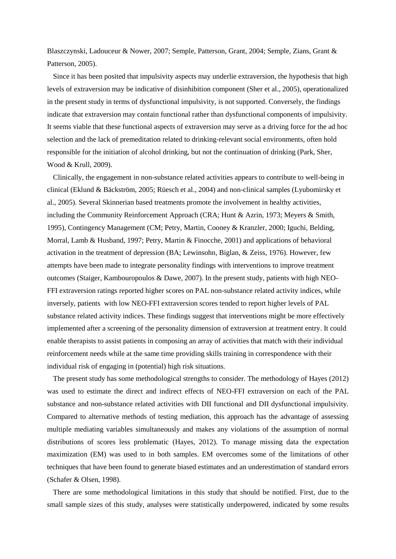Blaszczynski, Ladouceur & Nower, 2007; Semple, Patterson, Grant, 2004; Semple, Zians, Grant & Patterson, 2005).

Since it has been posited that impulsivity aspects may underlie extraversion, the hypothesis that high levels of extraversion may be indicative of disinhibition component (Sher et al., 2005), operationalized in the present study in terms of dysfunctional impulsivity, is not supported. Conversely, the findings indicate that extraversion may contain functional rather than dysfunctional components of impulsivity. It seems viable that these functional aspects of extraversion may serve as a driving force for the ad hoc selection and the lack of premeditation related to drinking-relevant social environments, often hold responsible for the initiation of alcohol drinking, but not the continuation of drinking (Park, Sher, Wood & Krull, 2009).

Clinically, the engagement in non-substance related activities appears to contribute to well-being in clinical (Eklund & Bäckström, 2005; Rüesch et al., 2004) and non-clinical samples (Lyubomirsky et al., 2005). Several Skinnerian based treatments promote the involvement in healthy activities, including the Community Reinforcement Approach (CRA; Hunt & Azrin, 1973; Meyers & Smith, 1995), Contingency Management (CM; Petry, Martin, Cooney & Kranzler, 2000; Iguchi, Belding, Morral, Lamb & Husband, 1997; Petry, Martin & Finocche, 2001) and applications of behavioral activation in the treatment of depression (BA; Lewinsohn, Biglan, & Zeiss, 1976). However, few attempts have been made to integrate personality findings with interventions to improve treatment outcomes (Staiger, Kambouropoulos & Dawe, 2007). In the present study, patients with high NEO-FFI extraversion ratings reported higher scores on PAL non-substance related activity indices, while inversely, patients with low NEO-FFI extraversion scores tended to report higher levels of PAL substance related activity indices. These findings suggest that interventions might be more effectively implemented after a screening of the personality dimension of extraversion at treatment entry. It could enable therapists to assist patients in composing an array of activities that match with their individual reinforcement needs while at the same time providing skills training in correspondence with their individual risk of engaging in (potential) high risk situations.

The present study has some methodological strengths to consider. The methodology of Hayes (2012) was used to estimate the direct and indirect effects of NEO-FFI extraversion on each of the PAL substance and non-substance related activities with DII functional and DII dysfunctional impulsivity. Compared to alternative methods of testing mediation, this approach has the advantage of assessing multiple mediating variables simultaneously and makes any violations of the assumption of normal distributions of scores less problematic (Hayes, 2012). To manage missing data the expectation maximization (EM) was used to in both samples. EM overcomes some of the limitations of other techniques that have been found to generate biased estimates and an underestimation of standard errors (Schafer & Olsen, 1998).

There are some methodological limitations in this study that should be notified. First, due to the small sample sizes of this study, analyses were statistically underpowered, indicated by some results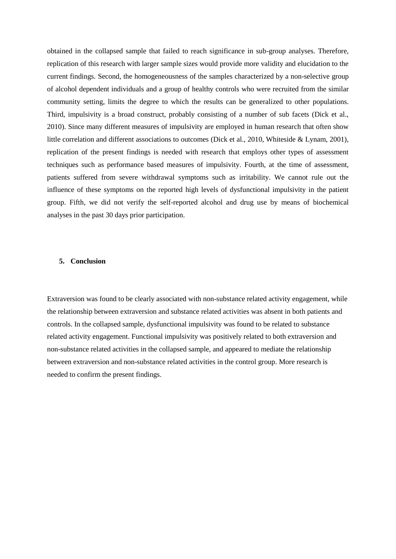obtained in the collapsed sample that failed to reach significance in sub-group analyses. Therefore, replication of this research with larger sample sizes would provide more validity and elucidation to the current findings. Second, the homogeneousness of the samples characterized by a non-selective group of alcohol dependent individuals and a group of healthy controls who were recruited from the similar community setting, limits the degree to which the results can be generalized to other populations. Third, impulsivity is a broad construct, probably consisting of a number of sub facets (Dick et al., 2010). Since many different measures of impulsivity are employed in human research that often show little correlation and different associations to outcomes (Dick et al., 2010, Whiteside & Lynam, 2001), replication of the present findings is needed with research that employs other types of assessment techniques such as performance based measures of impulsivity. Fourth, at the time of assessment, patients suffered from severe withdrawal symptoms such as irritability. We cannot rule out the influence of these symptoms on the reported high levels of dysfunctional impulsivity in the patient group. Fifth, we did not verify the self-reported alcohol and drug use by means of biochemical analyses in the past 30 days prior participation.

# **5. Conclusion**

Extraversion was found to be clearly associated with non-substance related activity engagement, while the relationship between extraversion and substance related activities was absent in both patients and controls. In the collapsed sample, dysfunctional impulsivity was found to be related to substance related activity engagement. Functional impulsivity was positively related to both extraversion and non-substance related activities in the collapsed sample, and appeared to mediate the relationship between extraversion and non-substance related activities in the control group. More research is needed to confirm the present findings.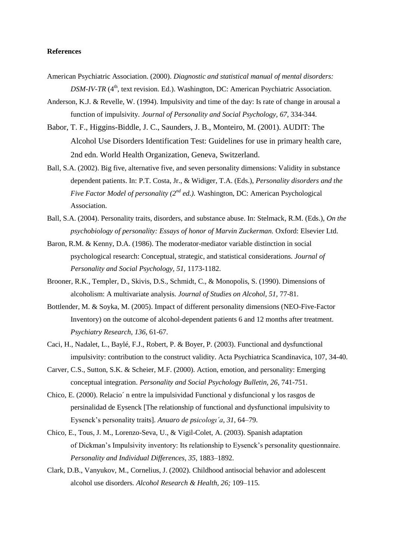# **References**

- American Psychiatric Association. (2000). *Diagnostic and statistical manual of mental disorders: DSM-IV-TR* (4<sup>th</sup>, text revision. Ed.). Washington, DC: American Psychiatric Association.
- Anderson, K.J. & Revelle, W. (1994). Impulsivity and time of the day: Is rate of change in arousal a function of impulsivity*. Journal of Personality and Social Psychology, 67,* 334-344.
- Babor, T. F., Higgins-Biddle, J. C., Saunders, J. B., Monteiro, M. (2001). AUDIT: The Alcohol Use Disorders Identification Test: Guidelines for use in primary health care, 2nd edn. World Health Organization, Geneva, Switzerland.
- Ball, S.A. (2002). Big five, alternative five, and seven personality dimensions: Validity in substance dependent patients. In: P.T. Costa, Jr., & Widiger, T.A. (Eds.), *Personality disorders and the Five Factor Model of personality (2nd ed.).* Washington, DC: American Psychological Association.
- Ball, S.A. (2004). Personality traits, disorders, and substance abuse. In: Stelmack, R.M. (Eds.), *On the psychobiology of personality: Essays of honor of Marvin Zuckerman.* Oxford: Elsevier Ltd.
- Baron, R.M. & Kenny, D.A. (1986). The moderator-mediator variable distinction in social psychological research: Conceptual, strategic, and statistical considerations*. Journal of Personality and Social Psychology, 51,* 1173-1182.
- Brooner, R.K., Templer, D., Skivis, D.S., Schmidt, C., & Monopolis, S. (1990). Dimensions of alcoholism: A multivariate analysis. *Journal of Studies on Alcohol, 51,* 77-81.
- Bottlender, M. & Soyka, M. (2005). Impact of different personality dimensions (NEO-Five-Factor Inventory) on the outcome of alcohol-dependent patients 6 and 12 months after treatment. *Psychiatry Research, 136,* 61-67.
- Caci, H., Nadalet, L., Baylé, F.J., Robert, P. & Boyer, P. (2003). Functional and dysfunctional impulsivity: contribution to the construct validity. Acta Psychiatrica Scandinavica, 107, 34-40.
- Carver, C.S., Sutton, S.K. & Scheier, M.F. (2000). Action, emotion, and personality: Emerging conceptual integration. *Personality and Social Psychology Bulletin, 26,* 741-751.
- Chico, E. (2000). Relacio´ n entre la impulsividad Functional y disfuncional y los rasgos de persinalidad de Eysenck [The relationship of functional and dysfunctional impulsivity to Eysenck's personality traits]. *Anuaro de psicologı´a, 31,* 64–79.
- Chico, E., Tous, J. M., Lorenzo-Seva, U., & Vigil-Colet, A. (2003). Spanish adaptation of Dickman's Impulsivity inventory: Its relationship to Eysenck's personality questionnaire. *Personality and Individual Differences, 35,* 1883–1892.
- Clark, D.B., Vanyukov, M., Cornelius, J. (2002). Childhood antisocial behavior and adolescent alcohol use disorders*. Alcohol Research & Health, 26;* 109*–*115*.*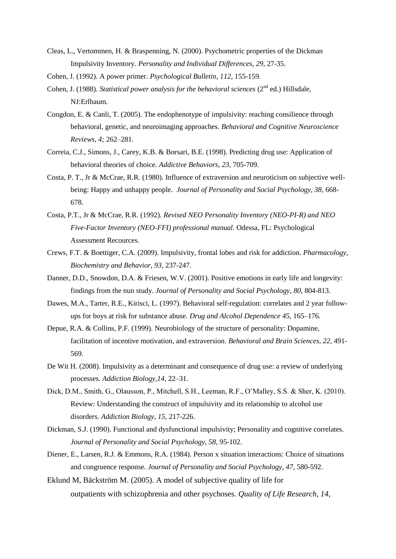- Cleas, L., Vertommen, H. & Braspenning, N. (2000). Psychometric properties of the Dickman Impulsivity Inventory. *Personality and Individual Differences, 29,* 27-35.
- Cohen, J. (1992). A power primer. *Psychological Bulletin, 112,* 155-159.
- Cohen, J. (1988). *Statistical power analysis for the behavioral sciences* (2<sup>nd</sup> ed.) Hillsdale, NJ:Erlbaum.
- Congdon, E. & Canli, T. (2005). The endophenotype of impulsivity: reaching consilience through behavioral, genetic, and neuroimaging approaches*. Behavioral and Cognitive Neuroscience Reviews, 4;* 262*–*281*.*
- Correia, C.J., Simons, J., Carey, K.B. & Borsari, B.E. (1998). Predicting drug use: Application of behavioral theories of choice. *Addictive Behaviors, 23,* 705-709.
- Costa, P. T., Jr & McCrae, R.R. (1980). Influence of extraversion and neuroticism on subjective wellbeing: Happy and unhappy people. *Journal of Personality and Social Psychology, 38,* 668- 678.
- Costa, P.T., Jr & McCrae, R.R. (1992). *Revised NEO Personality Inventory (NEO-PI-R) and NEO Five-Factor Inventory (NEO-FFI) professional manual.* Odessa, FL: Psychological Assessment Recources.
- Crews, F.T. & Boettiger, C.A. (2009). Impulsivity, frontal lobes and risk for addiction. *Pharmacology, Biochemistry and Behavior, 93,* 237-247.
- Danner, D.D., Snowdon, D.A. & Friesen, W.V. (2001). Positive emotions in early life and longevity: findings from the nun study. *Journal of Personality and Social Psychology, 80,* 804-813.
- Dawes, M.A.*,* Tarter, R.E.*,* Kirisci, L. (1997). Behavioral self-regulation: correlates and 2 year followups for boys at risk for substance abuse*. Drug and Alcohol Dependence 45*, 165*–*176*.*
- Depue, R.A. & Collins, P.F. (1999). Neurobiology of the structure of personality: Dopamine, facilitation of incentive motivation, and extraversion. *Behavioral and Brain Sciences, 22,* 491- 569.
- De Wit H. (2008). Impulsivity as a determinant and consequence of drug use: a review of underlying processes. *Addiction Biology,14,* 22–31.
- Dick, D.M., Smith, G., Olausson, P., Mitchell, S.H., Leeman, R.F., O'Malley, S.S. & Sher, K. (2010). Review: Understanding the construct of impulsivity and its relationship to alcohol use disorders. *Addiction Biology, 15,* 217-226.
- Dickman, S.J. (1990). Functional and dysfunctional impulsivity; Personality and cognitive correlates. *Journal of Personality and Social Psychology, 58,* 95-102.
- Diener, E., Larsen, R.J. & Emmons, R.A. (1984). Person x situation interactions: Choice of situations and congruence response. *Journal of Personality and Social Psychology, 47,* 580-592.
- Eklund M, Bäckström M. (2005). A model of subjective quality of life for outpatients with schizophrenia and other psychoses. *Quality of Life Research, 14,*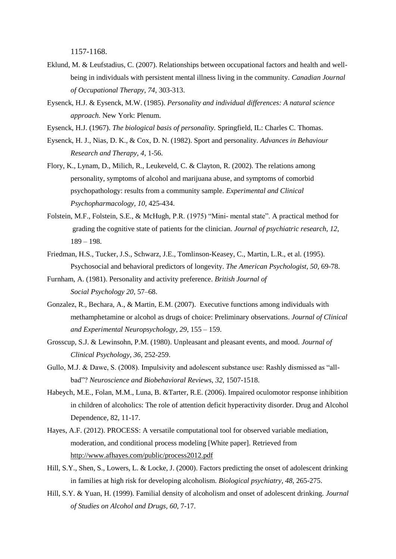1157-1168.

- Eklund, M. & Leufstadius, C. (2007). Relationships between occupational factors and health and wellbeing in individuals with persistent mental illness living in the community. *Canadian Journal of Occupational Therapy, 74,* 303-313.
- Eysenck, H.J. & Eysenck, M.W. (1985). *Personality and individual differences: A natural science approach.* New York: Plenum.
- Eysenck, H.J. (1967). *The biological basis of personality.* Springfield, IL: Charles C. Thomas.
- Eysenck, H. J., Nias, D. K., & Cox, D. N. (1982). Sport and personality. *Advances in Behaviour Research and Therapy, 4*, 1-56.
- Flory, K., Lynam, D., Milich, R., Leukeveld, C. & Clayton, R. (2002). The relations among personality, symptoms of alcohol and marijuana abuse, and symptoms of comorbid psychopathology: results from a community sample. *Experimental and Clinical Psychopharmacology, 10,* 425-434.
- Folstein, M.F., Folstein, S.E., & McHugh, P.R. (1975) "Mini- mental state". A practical method for grading the cognitive state of patients for the clinician. *Journal of psychiatric research, 12*, 189 – 198.
- Friedman, H.S., Tucker, J.S., Schwarz, J.E., Tomlinson-Keasey, C., Martin, L.R., et al. (1995). Psychosocial and behavioral predictors of longevity. *The American Psychologist, 50,* 69-78.
- Furnham, A. (1981). Personality and activity preference. *British Journal of Social Psychology 20,* 57–68.
- Gonzalez, R., Bechara, A., & Martin, E.M. (2007). Executive functions among individuals with methamphetamine or alcohol as drugs of choice: Preliminary observations. *Journal of Clinical and Experimental Neuropsychology, 29*, 155 – 159.
- Grosscup, S.J. & Lewinsohn, P.M. (1980). Unpleasant and pleasant events, and mood. *Journal of Clinical Psychology, 36,* 252-259.
- Gullo, M.J. & Dawe, S. (2008). Impulsivity and adolescent substance use: Rashly dismissed as "allbad"? *Neuroscience and Biobehavioral Reviews, 32,* 1507-1518.
- Habeych, M.E., Folan, M.M., Luna, B. &Tarter, R.E. (2006). Impaired oculomotor response inhibition in children of alcoholics: The role of attention deficit hyperactivity disorder. Drug and Alcohol Dependence, 82, 11-17.
- Hayes, A.F. (2012). PROCESS: A versatile computational tool for observed variable mediation, moderation, and conditional process modeling [White paper]. Retrieved from <http://www.afhayes.com/public/process2012.pdf>
- Hill, S.Y., Shen, S., Lowers, L. & Locke, J. (2000). Factors predicting the onset of adolescent drinking in families at high risk for developing alcoholism. *Biological psychiatry, 48,* 265-275.
- Hill, S.Y. & Yuan, H. (1999). Familial density of alcoholism and onset of adolescent drinking. *Journal of Studies on Alcohol and Drugs, 60,* 7-17.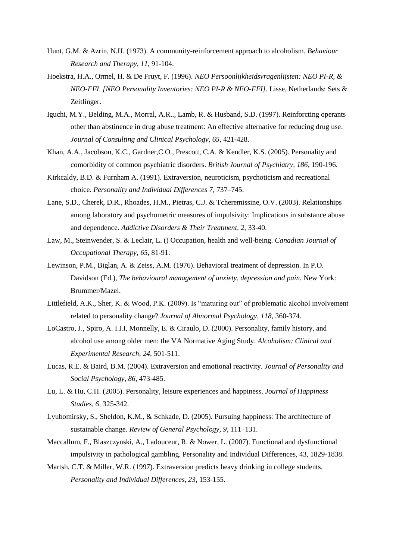- Hunt, G.M. & Azrin, N.H. (1973). A community-reinforcement approach to alcoholism. *Behaviour Research and Therapy, 11,* 91-104.
- Hoekstra, H.A., Ormel, H. & De Fruyt, F. (1996). *NEO Persoonlijkheidsvragenlijsten: NEO PI-R, & NEO-FFI. [NEO Personality Inventories: NEO PI-R & NEO-FFI].* Lisse, Netherlands: Sets & Zeitlinger.
- Iguchi, M.Y., Belding, M.A., Morral, A.R.., Lamb, R. & Husband, S.D. (1997). Reinforcting operants other than abstinence in drug abuse treatment: An effective alternative for reducing drug use. *Journal of Consulting and Clinical Psychology, 65,* 421-428.
- Khan, A.A., Jacobson, K.C., Gardner,C.O., Prescott, C.A. & Kendler, K.S. (2005). Personality and comorbidity of common psychiatric disorders. *British Journal of Psychiatry, 186,* 190-196.
- Kirkcaldy, B.D. & Furnham A. (1991). Extraversion, neuroticism, psychoticism and recreational choice. *Personality and Individual Differences 7,* 737–745.
- Lane, S.D., Cherek, D.R., Rhoades, H.M., Pietras, C.J. & Tcheremissine, O.V. (2003). Relationships among laboratory and psychometric measures of impulsivity: Implications in substance abuse and dependence. *Addictive Disorders & Their Treatment, 2,* 33-40.
- Law, M., Steinwender, S. & Leclair, L. () Occupation, health and well-being. *Canadian Journal of Occupational Therapy, 65,* 81-91.
- Lewinson, P.M., Biglan, A. & Zeiss, A.M. (1976). Behavioral treatment of depression. In P.O. Davidson (Ed.), *The behavioural management of anxiety, depression and pain.* New York: Brummer/Mazel.
- Littlefield, A.K., Sher, K. & Wood, P.K. (2009). Is "maturing out" of problematic alcohol involvement related to personality change? *Journal of Abnormal Psychology, 118,* 360-374.
- LoCastro, J., Spiro, A. I.I.I, Monnelly, E. & Ciraulo, D. (2000). Personality, family history, and alcohol use among older men: the VA Normative Aging Study. *Alcoholism: Clinical and Experimental Research, 24,* 501-511.
- Lucas, R.E. & Baird, B.M. (2004). Extraversion and emotional reactivity. *Journal of Personality and Social Psychology, 86,* 473-485.
- Lu, L. & Hu, C.H. (2005). Personality, leisure experiences and happiness. *Journal of Happiness Studies, 6,* 325-342.
- Lyubomirsky, S., Sheldon, K.M., & Schkade, D. (2005). Pursuing happiness: The architecture of sustainable change. *Review of General Psychology, 9,* 111–131.
- Maccallum, F., Blaszczynski, A., Ladouceur, R. & Nower, L. (2007). Functional and dysfunctional impulsivity in pathological gambling. Personality and Individual Differences, 43, 1829-1838.
- Martsh, C.T. & Miller, W.R. (1997). Extraversion predicts heavy drinking in college students. *Personality and Individual Differences, 23,* 153-155.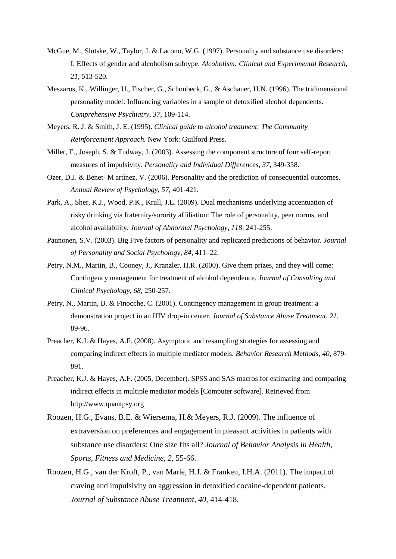- McGue, M., Slutske, W., Taylor, J. & Lacono, W.G. (1997). Personality and substance use disorders: I. Effects of gender and alcoholism subtype. *Alcoholism: Clinical and Experimental Research, 21,* 513-520.
- Meszaros, K., Willinger, U., Fischer, G., Schonbeck, G., & Aschauer, H.N. (1996). The tridimensional personality model: Influencing variables in a sample of detoxified alcohol dependents. *Comprehensive Psychiatry, 37,* 109-114.
- Meyers, R. J. & Smith, J. E. (1995). *Clinical guide to alcohol treatment: The Community Reinforcement Approach.* New York: Guilford Press.
- Miller, E., Joseph, S. & Tudway, J. (2003). Assessing the component structure of four self-report measures of impulsivity. *Personality and Individual Differences, 37,* 349-358.
- Ozer, D.J. & Benet- M artínez, V. (2006). Personality and the prediction of consequential outcomes. *Annual Review of Psychology, 57,* 401-421.
- Park, A., Sher, K.J., Wood, P.K., Krull, J.L. (2009). Dual mechanisms underlying accentuation of risky drinking via fraternity/sorority affiliation: The role of personality, peer norms, and alcohol availability. *Journal of Abnormal Psychology, 118,* 241-255.
- Paunonen, S.V. (2003). Big Five factors of personality and replicated predictions of behavior. *Journal of Personality and Social Psychology, 84,* 411–22.
- Petry, N.M., Martin, B., Cooney, J., Kranzler, H.R. (2000). Give them prizes, and they will come: Contingency management for treatment of alcohol dependence. *Journal of Consulting and Clinical Psychology, 68,* 250-257.
- Petry, N., Martin, B. & Finocche, C. (2001). Contingency management in group treatment: a demonstration project in an HIV drop-in center. *Journal of Substance Abuse Treatment, 21,*  89-96.
- Preacher, K.J. & Hayes, A.F. (2008). Asymptotic and resampling strategies for assessing and comparing indirect effects in multiple mediator models. *Behavior Research Methods, 40,* 879- 891.
- Preacher, K.J. & Hayes, A.F. (2005, December). SPSS and SAS macros for estimating and comparing indirect effects in multiple mediator models [Computer software]. Retrieved from http://www.quantpsy.org
- Roozen, H.G., Evans, B.E. & Wiersema, H.& Meyers, R.J. (2009). The influence of extraversion on preferences and engagement in pleasant activities in patients with substance use disorders: One size fits all? *Journal of Behavior Analysis in Health, Sports, Fitness and Medicine, 2,* 55-66.
- Roozen, H.G., van der Kroft, P., van Marle, H.J. & Franken, I.H.A. (2011). The impact of craving and impulsivity on aggression in detoxified cocaine-dependent patients. *Journal of Substance Abuse Treatment, 40,* 414-418.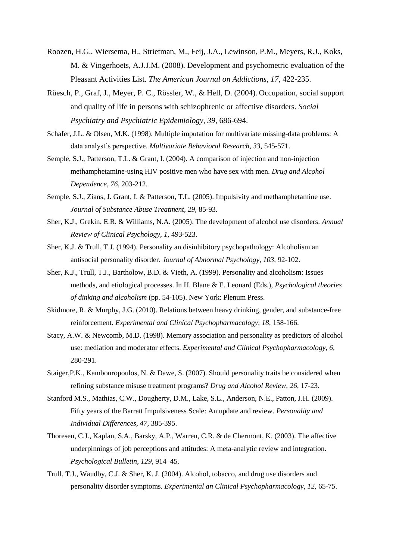- Roozen, H.G., Wiersema, H., Strietman, M., Feij, J.A., Lewinson, P.M., Meyers, R.J., Koks, M. & Vingerhoets, A.J.J.M. (2008). Development and psychometric evaluation of the Pleasant Activities List. *The American Journal on Addictions, 17,* 422-235.
- Rüesch, P., Graf, J., Meyer, P. C., Rössler, W., & Hell, D. (2004). Occupation, social support and quality of life in persons with schizophrenic or affective disorders. *Social Psychiatry and Psychiatric Epidemiology, 39,* 686-694.
- Schafer, J.L. & Olsen, M.K. (1998). Multiple imputation for multivariate missing-data problems: A data analyst's perspective. *Multivariate Behavioral Research, 33,* 545-571.
- Semple, S.J., Patterson, T.L. & Grant, I. (2004). A comparison of injection and non-injection methamphetamine-using HIV positive men who have sex with men. *Drug and Alcohol Dependence, 76,* 203-212.
- Semple, S.J., Zians, J. Grant, I. & Patterson, T.L. (2005). Impulsivity and methamphetamine use. *Journal of Substance Abuse Treatment, 29,* 85-93.
- Sher, K.J., Grekin, E.R. & Williams, N.A. (2005). The development of alcohol use disorders. *Annual Review of Clinical Psychology, 1,* 493-523.
- Sher, K.J. & Trull, T.J. (1994). Personality an disinhibitory psychopathology: Alcoholism an antisocial personality disorder. *Journal of Abnormal Psychology, 103,* 92-102.
- Sher, K.J., Trull, T.J., Bartholow, B.D. & Vieth, A. (1999). Personality and alcoholism: Issues methods, and etiological processes. In H. Blane & E. Leonard (Eds.), *Psychological theories of dinking and alcoholism* (pp. 54-105). New York: Plenum Press.
- Skidmore, R. & Murphy, J.G. (2010). Relations between heavy drinking, gender, and substance-free reinforcement. *Experimental and Clinical Psychopharmacology, 18,* 158-166.
- Stacy, A.W. & Newcomb, M.D. (1998). Memory association and personality as predictors of alcohol use: mediation and moderator effects. *Experimental and Clinical Psychopharmacology, 6,*  280-291.
- Staiger,P.K., Kambouropoulos, N. & Dawe, S. (2007). Should personality traits be considered when refining substance misuse treatment programs? *Drug and Alcohol Review, 26,* 17-23.
- Stanford M.S., Mathias, C.W., Dougherty, D.M., Lake, S.L., Anderson, N.E., Patton, J.H. (2009). Fifty years of the Barratt Impulsiveness Scale: An update and review. *Personality and Individual Differences, 47,* 385-395.
- Thoresen, C.J., Kaplan, S.A., Barsky, A.P., Warren, C.R. & de Chermont, K. (2003). The affective underpinnings of job perceptions and attitudes: A meta-analytic review and integration. *Psychological Bulletin, 129*, 914–45.
- Trull, T.J., Waudby, C.J. & Sher, K. J. (2004). Alcohol, tobacco, and drug use disorders and personality disorder symptoms. *Experimental an Clinical Psychopharmacology, 12,* 65-75.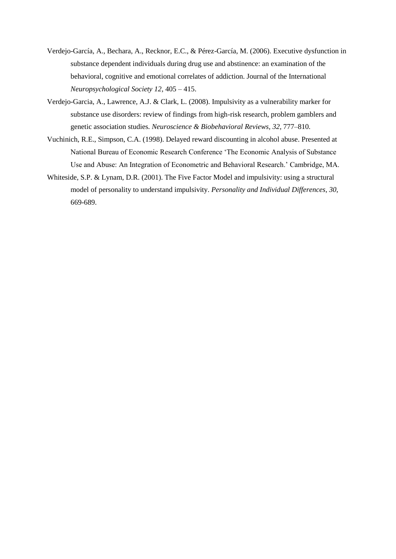- Verdejo-García, A., Bechara, A., Recknor, E.C., & Pérez-García, M. (2006). Executive dysfunction in substance dependent individuals during drug use and abstinence: an examination of the behavioral, cognitive and emotional correlates of addiction. Journal of the International *Neuropsychological Society 12*, 405 – 415.
- Verdejo-Garcia, A., Lawrence, A.J. & Clark, L. (2008). Impulsivity as a vulnerability marker for substance use disorders: review of findings from high-risk research, problem gamblers and genetic association studies*. Neuroscience & Biobehavioral Reviews, 32,* 777*–*810*.*
- Vuchinich, R.E., Simpson, C.A. (1998). Delayed reward discounting in alcohol abuse. Presented at National Bureau of Economic Research Conference 'The Economic Analysis of Substance Use and Abuse: An Integration of Econometric and Behavioral Research.' Cambridge, MA.
- Whiteside, S.P. & Lynam, D.R. (2001). The Five Factor Model and impulsivity: using a structural model of personality to understand impulsivity. *Personality and Individual Differences, 30,* 669-689.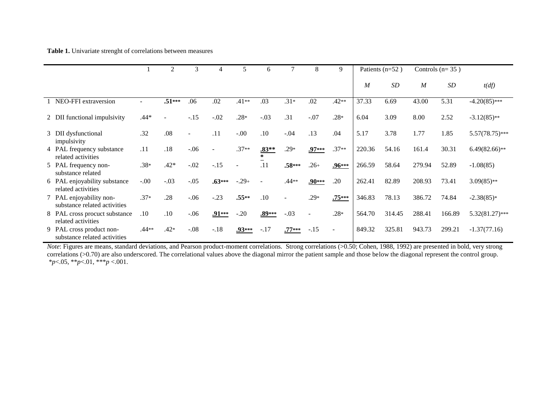### **Table 1.** Univariate strenght of correlations between measures

|                                                          |         | 2        | 3       |                |          | 6                 |          | 8        | 9        | Patients (n=52)  |        | Controls $(n=35)$ |           |                   |
|----------------------------------------------------------|---------|----------|---------|----------------|----------|-------------------|----------|----------|----------|------------------|--------|-------------------|-----------|-------------------|
|                                                          |         |          |         |                |          |                   |          |          |          | $\boldsymbol{M}$ | SD     | $\boldsymbol{M}$  | <b>SD</b> | t(df)             |
| NEO-FFI extraversion                                     | ۰       | $.51***$ | .06     | .02            | $.41**$  | .03               | $.31*$   | .02      | $.42**$  | 37.33            | 6.69   | 43.00             | 5.31      | $-4.20(85)$ ***   |
| 2 DII functional impulsivity                             | .44*    |          | $-.15$  | $-.02$         | $.28*$   | $-.03$            | .31      | $-.07$   | $.28*$   | 6.04             | 3.09   | 8.00              | 2.52      | $-3.12(85)$ **    |
| 3 DII dysfunctional<br>impulsivity                       | .32     | .08      |         | .11            | $-.00$   | .10               | $-.04$   | .13      | .04      | 5.17             | 3.78   | 1.77              | 1.85      | $5.57(78.75)$ *** |
| 4 PAL frequency substance<br>related activities          | .11     | .18      | $-0.06$ | $\overline{a}$ | $.37**$  | $.83**$<br>$\ast$ | $.29*$   | $.97***$ | $.37**$  | 220.36           | 54.16  | 161.4             | 30.31     | $6.49(82.66)$ **  |
| 5 PAL frequency non-<br>substance related                | $.38*$  | $.42*$   | $-.02$  | $-.15$         |          | .11               | $.58***$ | $.26+$   | .96***   | 266.59           | 58.64  | 279.94            | 52.89     | $-1.08(85)$       |
| 6 PAL enjoyability substance<br>related activities       | $-0.00$ | $-.03$   | $-.05$  | $.63***$       | $-.29+$  |                   | $.44**$  | $.90***$ | .20      | 262.41           | 82.89  | 208.93            | 73.41     | $3.09(85)$ **     |
| 7 PAL enjoyability non-<br>substance related activities  | $.37*$  | .28      | $-.06$  | $-.23$         | $.55**$  | .10               |          | $.29*$   | $.75***$ | 346.83           | 78.13  | 386.72            | 74.84     | $-2.38(85)*$      |
| 8 PAL cross procuct substance<br>related activities      | .10     | .10      | $-0.06$ | $.91***$       | $-.20$   | $.89***$          | $-.03$   | $\sim$   | $.28*$   | 564.70           | 314.45 | 288.41            | 166.89    | $5.32(81.27)$ *** |
| 9 PAL cross product non-<br>substance related activities | .44**   | $.42*$   | $-.08$  | $-.18$         | $.93***$ | $-.17$            | $.77***$ | $-.15$   | $\sim$   | 849.32           | 325.81 | 943.73            | 299.21    | $-1.37(77.16)$    |

*Note*: Figures are means, standard deviations, and Pearson product-moment correlations. Strong correlations (>0.50; Cohen, 1988, 1992) are presented in bold, very strong correlations (>0.70) are also underscored. The correlational values above the diagonal mirror the patient sample and those below the diagonal represent the control group. \**p*<.05, \*\**p*<.01, \*\*\**p* <.001.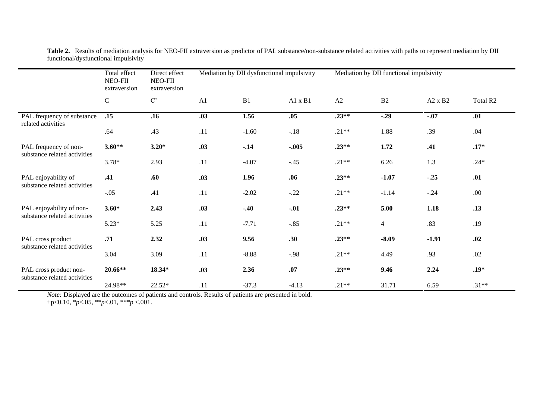|                                                        | Total effect<br>Direct effect<br>NEO-FII<br>NEO-FII<br>extraversion<br>extraversion |                     |                | Mediation by DII dysfunctional impulsivity |                | Mediation by DII functional impulsivity |                |                |                      |  |
|--------------------------------------------------------|-------------------------------------------------------------------------------------|---------------------|----------------|--------------------------------------------|----------------|-----------------------------------------|----------------|----------------|----------------------|--|
|                                                        | ${\bf C}$                                                                           | $\mathrm{C}^\prime$ | A <sub>1</sub> | B1                                         | $A1 \times B1$ | A2                                      | B2             | $A2 \times B2$ | Total R <sub>2</sub> |  |
| PAL frequency of substance<br>related activities       | .15                                                                                 | .16                 | .03            | 1.56                                       | .05            | $.23**$                                 | $-.29$         | $-.07$         | .01                  |  |
|                                                        | .64                                                                                 | .43                 | .11            | $-1.60$                                    | $-.18$         | $.21**$                                 | 1.88           | .39            | .04                  |  |
| PAL frequency of non-<br>substance related activities  | $3.60**$                                                                            | $3.20*$             | .03            | $-.14$                                     | $-.005$        | $.23**$                                 | 1.72           | .41            | $.17*$               |  |
|                                                        | $3.78*$                                                                             | 2.93                | .11            | $-4.07$                                    | $-.45$         | $.21**$                                 | 6.26           | 1.3            | $.24*$               |  |
| PAL enjoyability of<br>substance related activities    | .41                                                                                 | .60                 | .03            | 1.96                                       | .06            | $.23**$                                 | $-1.07$        | $-.25$         | .01                  |  |
|                                                        | $-.05$                                                                              | .41                 | .11            | $-2.02$                                    | $-.22$         | $.21**$                                 | $-1.14$        | $-.24$         | .00                  |  |
| PAL enjoyability of non-                               | $3.60*$                                                                             | 2.43                | .03            | $-.40$                                     | $-.01$         | $.23**$                                 | 5.00           | 1.18           | .13                  |  |
| substance related activities                           | $5.23*$                                                                             | 5.25                | .11            | $-7.71$                                    | $-.85$         | $.21**$                                 | $\overline{4}$ | .83            | .19                  |  |
| PAL cross product                                      | .71                                                                                 | 2.32                | .03            | 9.56                                       | .30            | $.23**$                                 | $-8.09$        | $-1.91$        | .02                  |  |
| substance related activities                           | 3.04                                                                                | 3.09                | .11            | $-8.88$                                    | $-.98$         | $.21**$                                 | 4.49           | .93            | .02                  |  |
| PAL cross product non-<br>substance related activities | 20.66**                                                                             | 18.34*              | .03            | 2.36                                       | .07            | $.23**$                                 | 9.46           | 2.24           | $.19*$               |  |
|                                                        | 24.98**                                                                             | 22.52*              | .11            | $-37.3$                                    | $-4.13$        | $.21**$                                 | 31.71          | 6.59           | $.31**$              |  |

**Table 2.** Results of mediation analysis for NEO-FII extraversion as predictor of PAL substance/non-substance related activities with paths to represent mediation by DII functional/dysfunctional impulsivity

*Note:* Displayed are the outcomes of patients and controls. Results of patients are presented in bold. +p<0.10, \**p*<.05, \*\**p*<.01, \*\*\**p* <.001.